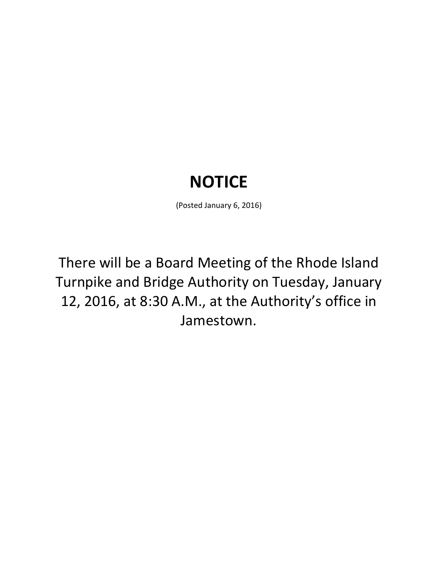## **NOTICE**

(Posted January 6, 2016)

There will be a Board Meeting of the Rhode Island Turnpike and Bridge Authority on Tuesday, January 12, 2016, at 8:30 A.M., at the Authority's office in Jamestown.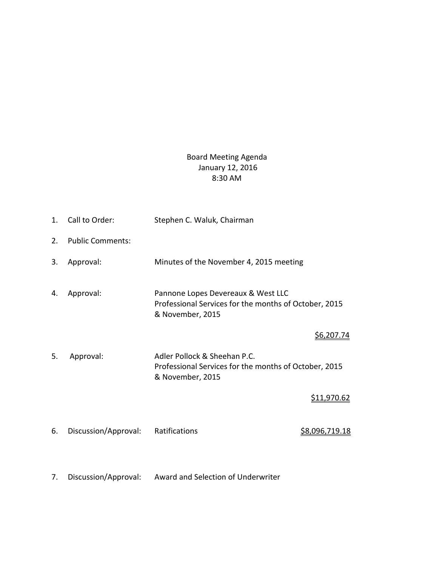## Board Meeting Agenda January 12, 2016 8:30 AM

1. Call to Order: Stephen C. Waluk, Chairman 2. Public Comments: 3. Approval: Minutes of the November 4, 2015 meeting 4. Approval: Pannone Lopes Devereaux & West LLC Professional Services for the months of October, 2015 & November, 2015 \$6,207.74 5. Approval: Adler Pollock & Sheehan P.C. Professional Services for the months of October, 2015 & November, 2015 \$11,970.62 6. Discussion/Approval: Ratifications **\$8,096,719.18** 7. Discussion/Approval: Award and Selection of Underwriter